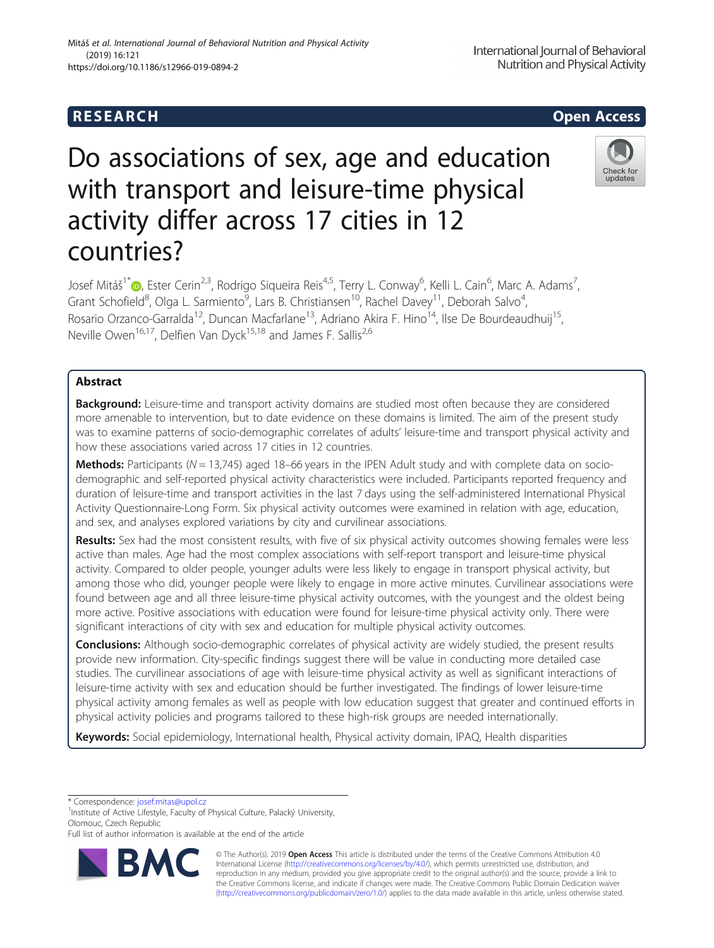## R E S EAR CH Open Access

# Do associations of sex, age and education with transport and leisure-time physical activity differ across 17 cities in 12 countries?

Josef Mitáš<sup>1[\\*](http://orcid.org/0000-0001-7219-931X)</sup>@, Ester Cerin<sup>2,3</sup>, Rodrigo Siqueira Reis<sup>4,5</sup>, Terry L. Conway<sup>6</sup>, Kelli L. Cain<sup>6</sup>, Marc A. Adams<sup>7</sup> , Grant Schofield<sup>8</sup>, Olga L. Sarmiento<sup>9</sup>, Lars B. Christiansen<sup>10</sup>, Rachel Davey<sup>11</sup>, Deborah Salvo<sup>4</sup> , Rosario Orzanco-Garralda<sup>12</sup>, Duncan Macfarlane<sup>13</sup>, Adriano Akira F. Hino<sup>14</sup>, Ilse De Bourdeaudhuij<sup>15</sup>, Neville Owen<sup>16,17</sup>, Delfien Van Dyck<sup>15,18</sup> and James F. Sallis<sup>2,6</sup>

## Abstract

Background: Leisure-time and transport activity domains are studied most often because they are considered more amenable to intervention, but to date evidence on these domains is limited. The aim of the present study was to examine patterns of socio-demographic correlates of adults' leisure-time and transport physical activity and how these associations varied across 17 cities in 12 countries.

**Methods:** Participants ( $N = 13,745$ ) aged 18–66 years in the IPEN Adult study and with complete data on sociodemographic and self-reported physical activity characteristics were included. Participants reported frequency and duration of leisure-time and transport activities in the last 7 days using the self-administered International Physical Activity Questionnaire-Long Form. Six physical activity outcomes were examined in relation with age, education, and sex, and analyses explored variations by city and curvilinear associations.

Results: Sex had the most consistent results, with five of six physical activity outcomes showing females were less active than males. Age had the most complex associations with self-report transport and leisure-time physical activity. Compared to older people, younger adults were less likely to engage in transport physical activity, but among those who did, younger people were likely to engage in more active minutes. Curvilinear associations were found between age and all three leisure-time physical activity outcomes, with the youngest and the oldest being more active. Positive associations with education were found for leisure-time physical activity only. There were significant interactions of city with sex and education for multiple physical activity outcomes.

**Conclusions:** Although socio-demographic correlates of physical activity are widely studied, the present results provide new information. City-specific findings suggest there will be value in conducting more detailed case studies. The curvilinear associations of age with leisure-time physical activity as well as significant interactions of leisure-time activity with sex and education should be further investigated. The findings of lower leisure-time physical activity among females as well as people with low education suggest that greater and continued efforts in physical activity policies and programs tailored to these high-risk groups are needed internationally.

Keywords: Social epidemiology, International health, Physical activity domain, IPAQ, Health disparities

\* Correspondence: [josef.mitas@upol.cz](mailto:josef.mitas@upol.cz) <sup>1</sup>





International Journal of Behavioral

<sup>&</sup>lt;sup>1</sup>Institute of Active Lifestyle, Faculty of Physical Culture, Palacký University, Olomouc, Czech Republic

Full list of author information is available at the end of the article

<sup>©</sup> The Author(s). 2019 **Open Access** This article is distributed under the terms of the Creative Commons Attribution 4.0 International License [\(http://creativecommons.org/licenses/by/4.0/](http://creativecommons.org/licenses/by/4.0/)), which permits unrestricted use, distribution, and reproduction in any medium, provided you give appropriate credit to the original author(s) and the source, provide a link to the Creative Commons license, and indicate if changes were made. The Creative Commons Public Domain Dedication waiver [\(http://creativecommons.org/publicdomain/zero/1.0/](http://creativecommons.org/publicdomain/zero/1.0/)) applies to the data made available in this article, unless otherwise stated.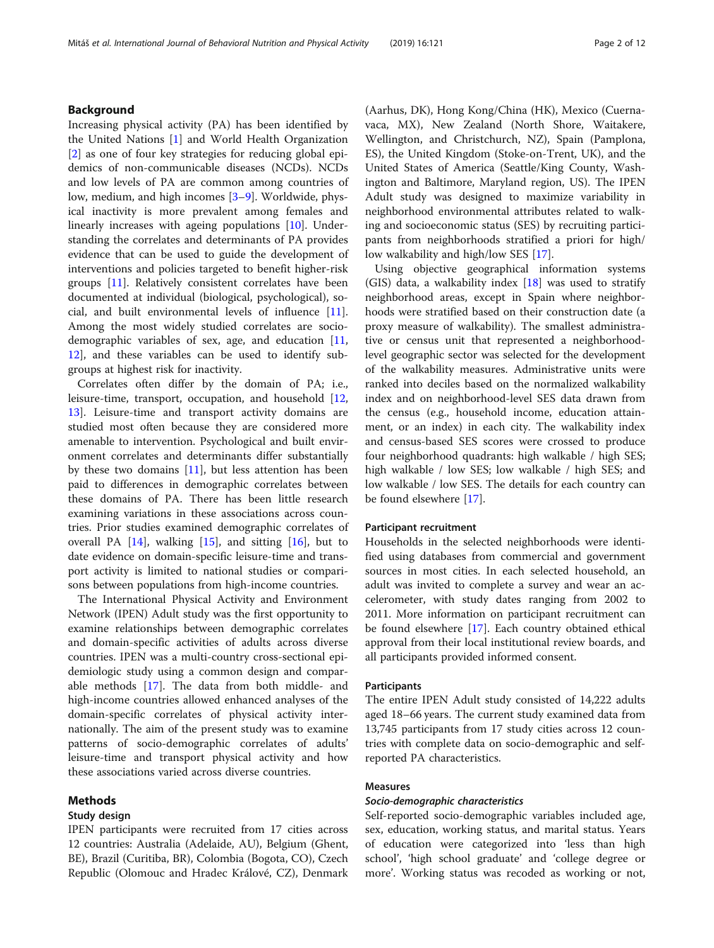## Background

Increasing physical activity (PA) has been identified by the United Nations [\[1](#page-10-0)] and World Health Organization [[2\]](#page-10-0) as one of four key strategies for reducing global epidemics of non-communicable diseases (NCDs). NCDs and low levels of PA are common among countries of low, medium, and high incomes [[3](#page-10-0)–[9\]](#page-10-0). Worldwide, physical inactivity is more prevalent among females and linearly increases with ageing populations [\[10](#page-11-0)]. Understanding the correlates and determinants of PA provides evidence that can be used to guide the development of interventions and policies targeted to benefit higher-risk groups [[11\]](#page-11-0). Relatively consistent correlates have been documented at individual (biological, psychological), social, and built environmental levels of influence [\[11](#page-11-0)]. Among the most widely studied correlates are sociodemographic variables of sex, age, and education [[11](#page-11-0), [12\]](#page-11-0), and these variables can be used to identify subgroups at highest risk for inactivity.

Correlates often differ by the domain of PA; i.e., leisure-time, transport, occupation, and household [[12](#page-11-0), [13\]](#page-11-0). Leisure-time and transport activity domains are studied most often because they are considered more amenable to intervention. Psychological and built environment correlates and determinants differ substantially by these two domains  $[11]$  $[11]$ , but less attention has been paid to differences in demographic correlates between these domains of PA. There has been little research examining variations in these associations across countries. Prior studies examined demographic correlates of overall PA  $[14]$  $[14]$ , walking  $[15]$  $[15]$  $[15]$ , and sitting  $[16]$  $[16]$ , but to date evidence on domain-specific leisure-time and transport activity is limited to national studies or comparisons between populations from high-income countries.

The International Physical Activity and Environment Network (IPEN) Adult study was the first opportunity to examine relationships between demographic correlates and domain-specific activities of adults across diverse countries. IPEN was a multi-country cross-sectional epidemiologic study using a common design and comparable methods [[17\]](#page-11-0). The data from both middle- and high-income countries allowed enhanced analyses of the domain-specific correlates of physical activity internationally. The aim of the present study was to examine patterns of socio-demographic correlates of adults' leisure-time and transport physical activity and how these associations varied across diverse countries.

## Methods

## Study design

IPEN participants were recruited from 17 cities across 12 countries: Australia (Adelaide, AU), Belgium (Ghent, BE), Brazil (Curitiba, BR), Colombia (Bogota, CO), Czech Republic (Olomouc and Hradec Králové, CZ), Denmark

(Aarhus, DK), Hong Kong/China (HK), Mexico (Cuernavaca, MX), New Zealand (North Shore, Waitakere, Wellington, and Christchurch, NZ), Spain (Pamplona, ES), the United Kingdom (Stoke-on-Trent, UK), and the United States of America (Seattle/King County, Washington and Baltimore, Maryland region, US). The IPEN Adult study was designed to maximize variability in neighborhood environmental attributes related to walking and socioeconomic status (SES) by recruiting participants from neighborhoods stratified a priori for high/ low walkability and high/low SES [\[17\]](#page-11-0).

Using objective geographical information systems (GIS) data, a walkability index  $[18]$  $[18]$  was used to stratify neighborhood areas, except in Spain where neighborhoods were stratified based on their construction date (a proxy measure of walkability). The smallest administrative or census unit that represented a neighborhoodlevel geographic sector was selected for the development of the walkability measures. Administrative units were ranked into deciles based on the normalized walkability index and on neighborhood-level SES data drawn from the census (e.g., household income, education attainment, or an index) in each city. The walkability index and census-based SES scores were crossed to produce four neighborhood quadrants: high walkable / high SES; high walkable / low SES; low walkable / high SES; and low walkable / low SES. The details for each country can be found elsewhere [[17\]](#page-11-0).

## Participant recruitment

Households in the selected neighborhoods were identified using databases from commercial and government sources in most cities. In each selected household, an adult was invited to complete a survey and wear an accelerometer, with study dates ranging from 2002 to 2011. More information on participant recruitment can be found elsewhere [[17](#page-11-0)]. Each country obtained ethical approval from their local institutional review boards, and all participants provided informed consent.

### **Participants**

The entire IPEN Adult study consisted of 14,222 adults aged 18–66 years. The current study examined data from 13,745 participants from 17 study cities across 12 countries with complete data on socio-demographic and selfreported PA characteristics.

## Measures

#### Socio-demographic characteristics

Self-reported socio-demographic variables included age, sex, education, working status, and marital status. Years of education were categorized into 'less than high school', 'high school graduate' and 'college degree or more'. Working status was recoded as working or not,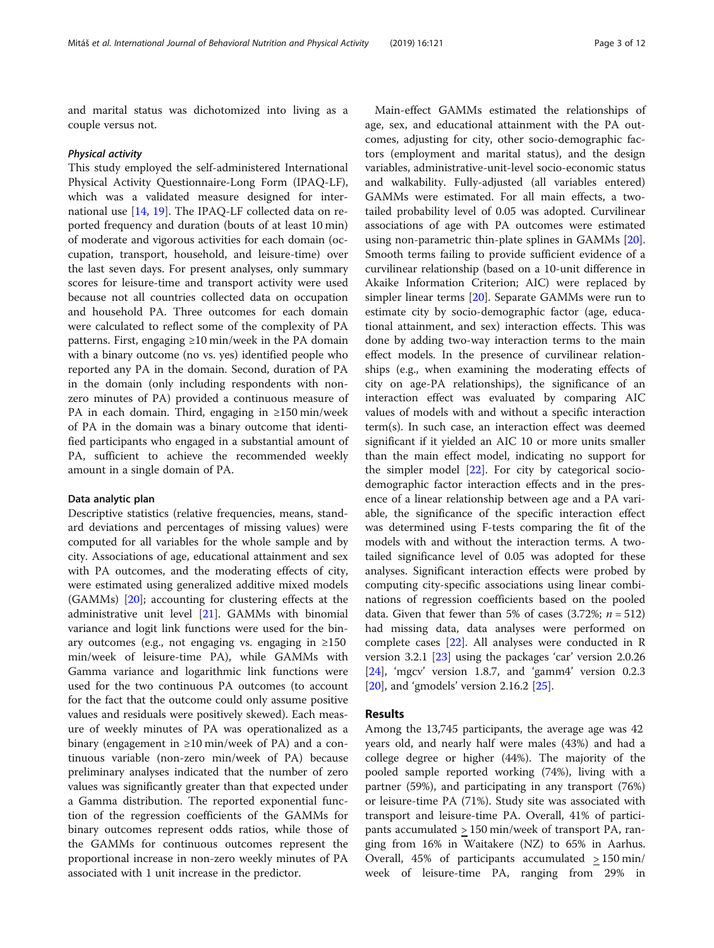and marital status was dichotomized into living as a couple versus not.

#### Physical activity

This study employed the self-administered International Physical Activity Questionnaire-Long Form (IPAQ-LF), which was a validated measure designed for international use [[14](#page-11-0), [19](#page-11-0)]. The IPAQ-LF collected data on reported frequency and duration (bouts of at least 10 min) of moderate and vigorous activities for each domain (occupation, transport, household, and leisure-time) over the last seven days. For present analyses, only summary scores for leisure-time and transport activity were used because not all countries collected data on occupation and household PA. Three outcomes for each domain were calculated to reflect some of the complexity of PA patterns. First, engaging ≥10 min/week in the PA domain with a binary outcome (no vs. yes) identified people who reported any PA in the domain. Second, duration of PA in the domain (only including respondents with nonzero minutes of PA) provided a continuous measure of PA in each domain. Third, engaging in ≥150 min/week of PA in the domain was a binary outcome that identified participants who engaged in a substantial amount of PA, sufficient to achieve the recommended weekly amount in a single domain of PA.

#### Data analytic plan

Descriptive statistics (relative frequencies, means, standard deviations and percentages of missing values) were computed for all variables for the whole sample and by city. Associations of age, educational attainment and sex with PA outcomes, and the moderating effects of city, were estimated using generalized additive mixed models (GAMMs) [[20\]](#page-11-0); accounting for clustering effects at the administrative unit level [\[21\]](#page-11-0). GAMMs with binomial variance and logit link functions were used for the binary outcomes (e.g., not engaging vs. engaging in  $\geq 150$ min/week of leisure-time PA), while GAMMs with Gamma variance and logarithmic link functions were used for the two continuous PA outcomes (to account for the fact that the outcome could only assume positive values and residuals were positively skewed). Each measure of weekly minutes of PA was operationalized as a binary (engagement in ≥10 min/week of PA) and a continuous variable (non-zero min/week of PA) because preliminary analyses indicated that the number of zero values was significantly greater than that expected under a Gamma distribution. The reported exponential function of the regression coefficients of the GAMMs for binary outcomes represent odds ratios, while those of the GAMMs for continuous outcomes represent the proportional increase in non-zero weekly minutes of PA associated with 1 unit increase in the predictor.

Main-effect GAMMs estimated the relationships of age, sex, and educational attainment with the PA outcomes, adjusting for city, other socio-demographic factors (employment and marital status), and the design variables, administrative-unit-level socio-economic status and walkability. Fully-adjusted (all variables entered) GAMMs were estimated. For all main effects, a twotailed probability level of 0.05 was adopted. Curvilinear associations of age with PA outcomes were estimated using non-parametric thin-plate splines in GAMMs [\[20](#page-11-0)]. Smooth terms failing to provide sufficient evidence of a curvilinear relationship (based on a 10-unit difference in Akaike Information Criterion; AIC) were replaced by simpler linear terms [\[20](#page-11-0)]. Separate GAMMs were run to estimate city by socio-demographic factor (age, educational attainment, and sex) interaction effects. This was done by adding two-way interaction terms to the main effect models. In the presence of curvilinear relationships (e.g., when examining the moderating effects of city on age-PA relationships), the significance of an interaction effect was evaluated by comparing AIC values of models with and without a specific interaction term(s). In such case, an interaction effect was deemed significant if it yielded an AIC 10 or more units smaller than the main effect model, indicating no support for the simpler model [[22\]](#page-11-0). For city by categorical sociodemographic factor interaction effects and in the presence of a linear relationship between age and a PA variable, the significance of the specific interaction effect was determined using F-tests comparing the fit of the models with and without the interaction terms. A twotailed significance level of 0.05 was adopted for these analyses. Significant interaction effects were probed by computing city-specific associations using linear combinations of regression coefficients based on the pooled data. Given that fewer than 5% of cases (3.72%;  $n = 512$ ) had missing data, data analyses were performed on complete cases [\[22\]](#page-11-0). All analyses were conducted in R version 3.2.1 [[23](#page-11-0)] using the packages 'car' version 2.0.26 [[24\]](#page-11-0), 'mgcv' version 1.8.7, and 'gamm4' version 0.2.3 [[20\]](#page-11-0), and 'gmodels' version 2.16.2 [\[25\]](#page-11-0).

## Results

Among the 13,745 participants, the average age was 42 years old, and nearly half were males (43%) and had a college degree or higher (44%). The majority of the pooled sample reported working (74%), living with a partner (59%), and participating in any transport (76%) or leisure-time PA (71%). Study site was associated with transport and leisure-time PA. Overall, 41% of participants accumulated > 150 min/week of transport PA, ranging from 16% in Waitakere (NZ) to 65% in Aarhus. Overall, 45% of participants accumulated  $\geq 150$  min/ week of leisure-time PA, ranging from 29% in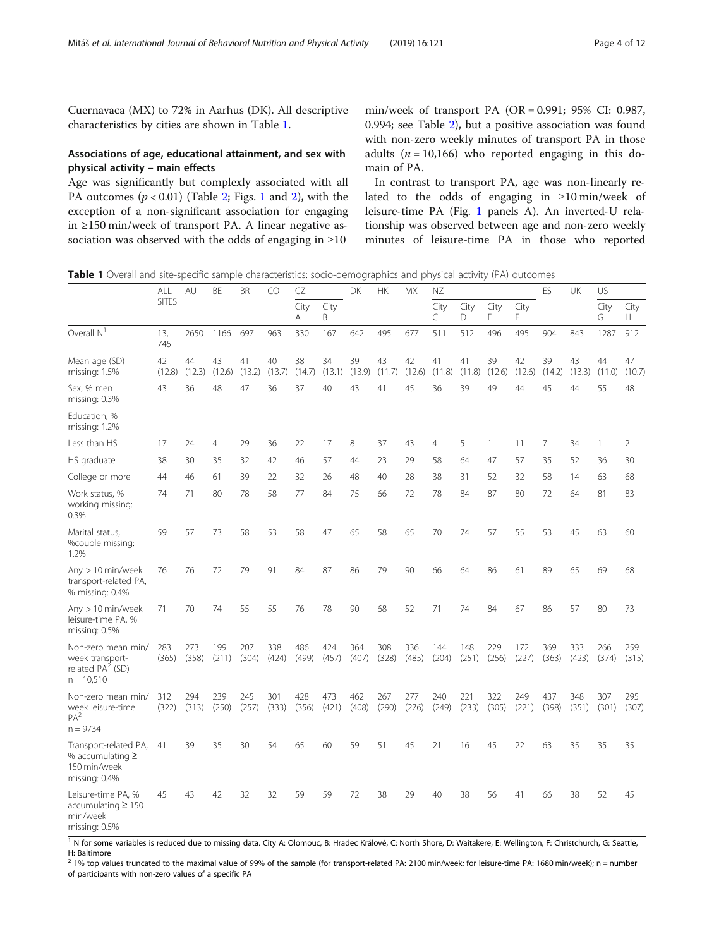Cuernavaca (MX) to 72% in Aarhus (DK). All descriptive characteristics by cities are shown in Table 1.

## Associations of age, educational attainment, and sex with physical activity – main effects

Age was significantly but complexly associated with all PA outcomes  $(p < 0.01)$  $(p < 0.01)$  $(p < 0.01)$  (Table [2](#page-6-0); Figs. 1 and 2), with the exception of a non-significant association for engaging in ≥150 min/week of transport PA. A linear negative association was observed with the odds of engaging in ≥10

min/week of transport PA (OR = 0.991; 95% CI: 0.987, 0.994; see Table [2\)](#page-4-0), but a positive association was found with non-zero weekly minutes of transport PA in those adults ( $n = 10,166$ ) who reported engaging in this domain of PA.

In contrast to transport PA, age was non-linearly related to the odds of engaging in ≥10 min/week of leisure-time PA (Fig. [1](#page-5-0) panels A). An inverted-U relationship was observed between age and non-zero weekly minutes of leisure-time PA in those who reported

Table 1 Overall and site-specific sample characteristics: socio-demographics and physical activity (PA) outcomes

|                                                                                 | ALL          | AU           | BE           | <b>BR</b>    | CO           | CZ           |              | DK<br><b>HK</b> |              | <b>MX</b>    | NΖ           |              |              | ES           | UK           | US           |              |              |
|---------------------------------------------------------------------------------|--------------|--------------|--------------|--------------|--------------|--------------|--------------|-----------------|--------------|--------------|--------------|--------------|--------------|--------------|--------------|--------------|--------------|--------------|
|                                                                                 | <b>SITES</b> |              |              |              |              | City<br>A    | City<br>B    |                 |              |              | City<br>C    | City<br>D    | City<br>E    | City<br>F    |              |              | City<br>G    | City<br>H    |
| Overall $N1$                                                                    | 13,<br>745   | 2650         | 1166         | 697          | 963          | 330          | 167          | 642             | 495          | 677          | 511          | 512          | 496          | 495          | 904          | 843          | 1287         | 912          |
| Mean age (SD)<br>missing: 1.5%                                                  | 42<br>(12.8) | 44<br>(12.3) | 43<br>(12.6) | 41<br>(13.2) | 40<br>(13.7) | 38<br>(14.7) | 34<br>(13.1) | 39<br>(13.9)    | 43<br>(11.7) | 42<br>(12.6) | 41<br>(11.8) | 41<br>(11.8) | 39<br>(12.6) | 42<br>(12.6) | 39<br>(14.2) | 43<br>(13.3) | 44<br>(11.0) | 47<br>(10.7) |
| Sex, % men<br>missing: $0.3\%$                                                  | 43           | 36           | 48           | 47           | 36           | 37           | 40           | 43              | 41           | 45           | 36           | 39           | 49           | 44           | 45           | 44           | 55           | 48           |
| Education, %<br>missing: 1.2%                                                   |              |              |              |              |              |              |              |                 |              |              |              |              |              |              |              |              |              |              |
| Less than HS                                                                    | 17           | 24           | 4            | 29           | 36           | 22           | 17           | 8               | 37           | 43           | 4            | 5            | 1            | 11           | 7            | 34           |              | 2            |
| HS graduate                                                                     | 38           | 30           | 35           | 32           | 42           | 46           | 57           | 44              | 23           | 29           | 58           | 64           | 47           | 57           | 35           | 52           | 36           | 30           |
| College or more                                                                 | 44           | 46           | 61           | 39           | 22           | 32           | 26           | 48              | 40           | 28           | 38           | 31           | 52           | 32           | 58           | 14           | 63           | 68           |
| Work status, %<br>working missing:<br>0.3%                                      | 74           | 71           | 80           | 78           | 58           | 77           | 84           | 75              | 66           | 72           | 78           | 84           | 87           | 80           | 72           | 64           | 81           | 83           |
| Marital status,<br>%couple missing:<br>1.2%                                     | 59           | 57           | 73           | 58           | 53           | 58           | 47           | 65              | 58           | 65           | 70           | 74           | 57           | 55           | 53           | 45           | 63           | 60           |
| Any $> 10$ min/week<br>transport-related PA,<br>% missing: 0.4%                 | 76           | 76           | 72           | 79           | 91           | 84           | 87           | 86              | 79           | 90           | 66           | 64           | 86           | 61           | 89           | 65           | 69           | 68           |
| Any $> 10$ min/week<br>leisure-time PA, %<br>missing: $0.5%$                    | 71           | 70           | 74           | 55           | 55           | 76           | 78           | 90              | 68           | 52           | 71           | 74           | 84           | 67           | 86           | 57           | 80           | 73           |
| Non-zero mean min/<br>week transport-<br>related $PA^2$ (SD)<br>$n = 10,510$    | 283<br>(365) | 273<br>(358) | 199<br>(211) | 207<br>(304) | 338<br>(424) | 486<br>(499) | 424<br>(457) | 364<br>(407)    | 308<br>(328) | 336<br>(485) | 144<br>(204) | 148<br>(251) | 229<br>(256) | 172<br>(227) | 369<br>(363) | 333<br>(423) | 266<br>(374) | 259<br>(315) |
| Non-zero mean min/<br>week leisure-time<br>PA <sup>2</sup><br>$n = 9734$        | 312<br>(322) | 294<br>(313) | 239<br>(250) | 245<br>(257) | 301<br>(333) | 428<br>(356) | 473<br>(421) | 462<br>(408)    | 267<br>(290) | 277<br>(276) | 240<br>(249) | 221<br>(233) | 322<br>(305) | 249<br>(221) | 437<br>(398) | 348<br>(351) | 307<br>(301) | 295<br>(307) |
| Transport-related PA,<br>% accumulating $\geq$<br>150 min/week<br>missing: 0.4% | 41           | 39           | 35           | 30           | 54           | 65           | 60           | 59              | 51           | 45           | 21           | 16           | 45           | 22           | 63           | 35           | 35           | 35           |
| Leisure-time PA, %<br>$accumulating \geq 150$<br>min/week<br>missing: $0.5%$    | 45           | 43           | 42           | 32           | 32           | 59           | 59           | 72              | 38           | 29           | 40           | 38           | 56           | 41           | 66           | 38           | 52           | 45           |

<sup>1</sup> N for some variables is reduced due to missing data. City A: Olomouc, B: Hradec Králové, C: North Shore, D: Waitakere, E: Wellington, F: Christchurch, G: Seattle, H: Baltimore

 $^{2}$  1% top values truncated to the maximal value of 99% of the sample (for transport-related PA: 2100 min/week; for leisure-time PA: 1680 min/week); n = number of participants with non-zero values of a specific PA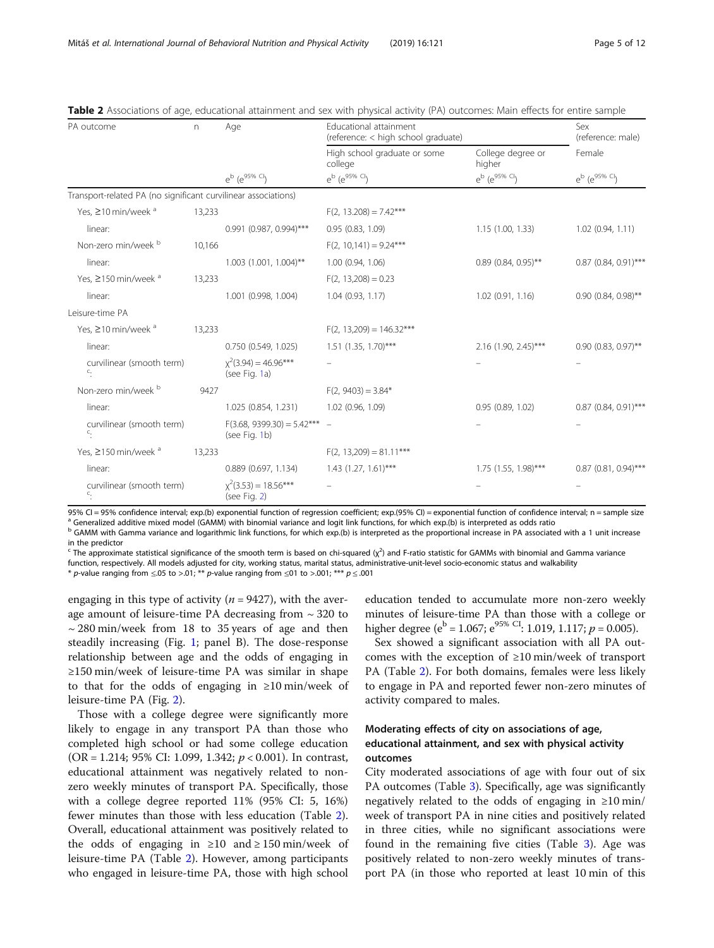| PA outcome                                                     | n      | Age                                             | Educational attainment<br>(reference: < high school graduate) | Sex<br>(reference: male)    |                          |  |
|----------------------------------------------------------------|--------|-------------------------------------------------|---------------------------------------------------------------|-----------------------------|--------------------------|--|
|                                                                |        |                                                 | High school graduate or some<br>college                       | College degree or<br>higher | Female                   |  |
|                                                                |        | $e^{b}$ $(e^{95\%}$ Cl                          | $e^{b}$ ( $e^{95\%}$ Cl)                                      | $e^{b}$ ( $e^{95\%}$ Cl)    | $e^{b}$ ( $e^{95\%}$ Cl) |  |
| Transport-related PA (no significant curvilinear associations) |        |                                                 |                                                               |                             |                          |  |
| Yes, ≥10 min/week <sup>a</sup>                                 | 13,233 |                                                 | $F(2, 13.208) = 7.42***$                                      |                             |                          |  |
| linear:                                                        |        | 0.991 (0.987, 0.994)***                         | 0.95(0.83, 1.09)                                              | 1.15(1.00, 1.33)            | 1.02(0.94, 1.11)         |  |
| Non-zero min/week b                                            | 10,166 |                                                 | $F(2, 10, 141) = 9.24***$                                     |                             |                          |  |
| linear:                                                        |        | $1.003$ (1.001, 1.004)**                        | 1.00(0.94, 1.06)                                              | $0.89(0.84, 0.95)$ **       | $0.87$ (0.84, 0.91)***   |  |
| Yes, ≥150 min/week <sup>a</sup>                                | 13,233 |                                                 | $F(2, 13,208) = 0.23$                                         |                             |                          |  |
| linear:                                                        |        | 1.001 (0.998, 1.004)                            | 1.04(0.93, 1.17)                                              | 1.02(0.91, 1.16)            | $0.90$ (0.84, 0.98)**    |  |
| Leisure-time PA                                                |        |                                                 |                                                               |                             |                          |  |
| Yes, ≥10 min/week <sup>a</sup>                                 | 13,233 |                                                 | $F(2, 13,209) = 146.32***$                                    |                             |                          |  |
| linear:                                                        |        | 0.750(0.549, 1.025)                             | $1.51$ (1.35, 1.70)***                                        | $2.16$ (1.90, 2.45)***      | $0.90$ (0.83, 0.97)**    |  |
| curvilinear (smooth term)<br>$\overline{C}$ .                  |        | $\chi^2(3.94) = 46.96***$<br>(see Fig. 1a)      |                                                               |                             |                          |  |
| Non-zero min/week b                                            | 9427   |                                                 | $F(2, 9403) = 3.84*$                                          |                             |                          |  |
| linear:                                                        |        | 1.025 (0.854, 1.231)                            | 1.02 (0.96, 1.09)                                             | 0.95(0.89, 1.02)            | $0.87$ (0.84, 0.91)***   |  |
| curvilinear (smooth term)<br>$\overline{\cdot}$ .              |        | $F(3.68, 9399.30) = 5.42***$ -<br>(see Fig. 1b) |                                                               |                             |                          |  |
| Yes, ≥150 min/week <sup>a</sup>                                | 13,233 |                                                 | $F(2, 13,209) = 81.11***$                                     |                             |                          |  |
| linear:                                                        |        | $0.889$ (0.697, 1.134)                          | $1.43(1.27, 1.61)$ ***                                        | $1.75$ (1.55, 1.98)***      | $0.87$ (0.81, 0.94)***   |  |
| curvilinear (smooth term)<br>C.                                |        | $\chi^2(3.53) = 18.56***$<br>(see Fig. $2$ )    |                                                               |                             |                          |  |

<span id="page-4-0"></span>

| Table 2 Associations of age, educational attainment and sex with physical activity (PA) outcomes: Main effects for entire sample |  |  |
|----------------------------------------------------------------------------------------------------------------------------------|--|--|
|----------------------------------------------------------------------------------------------------------------------------------|--|--|

95% CI = 95% confidence interval; exp.(b) exponential function of regression coefficient; exp.(95% CI) = exponential function of confidence interval; n = sample size  $^a$  Generalized additive mixed model (GAMM) with binom

<sup>b</sup> GAMM with Gamma variance and logarithmic link functions, for which exp.(b) is interpreted as the proportional increase in PA associated with a 1 unit increase in the predictor

<sup>c</sup> The approximate statistical significance of the smooth term is based on chi-squared ( $\chi^2$ ) and F-ratio statistic for GAMMs with binomial and Gamma variance function, respectively. All models adjusted for city, working status, marital status, administrative-unit-level socio-economic status and walkability

\* p-value ranging from  $\leq 0.05$  to  $> 0.01$ ; \*\* p-value ranging from  $\leq 0.01$  to  $> 0.001$ ; \*\*\* p  $\leq 0.001$ 

engaging in this type of activity ( $n = 9427$ ), with the average amount of leisure-time PA decreasing from ~ 320 to  $\sim$  280 min/week from 18 to 35 years of age and then steadily increasing (Fig. [1;](#page-5-0) panel B). The dose-response relationship between age and the odds of engaging in ≥150 min/week of leisure-time PA was similar in shape to that for the odds of engaging in ≥10 min/week of leisure-time PA (Fig. [2](#page-6-0)).

Those with a college degree were significantly more likely to engage in any transport PA than those who completed high school or had some college education (OR = 1.214; 95% CI: 1.099, 1.342;  $p < 0.001$ ). In contrast, educational attainment was negatively related to nonzero weekly minutes of transport PA. Specifically, those with a college degree reported 11% (95% CI: 5, 16%) fewer minutes than those with less education (Table 2). Overall, educational attainment was positively related to the odds of engaging in  $\geq 10$  and  $\geq 150$  min/week of leisure-time PA (Table 2). However, among participants who engaged in leisure-time PA, those with high school

education tended to accumulate more non-zero weekly minutes of leisure-time PA than those with a college or higher degree ( $e^{b} = 1.067$ ;  $e^{95\% \text{ CI}}$ : 1.019, 1.117;  $p = 0.005$ ).

Sex showed a significant association with all PA outcomes with the exception of ≥10 min/week of transport PA (Table 2). For both domains, females were less likely to engage in PA and reported fewer non-zero minutes of activity compared to males.

## Moderating effects of city on associations of age, educational attainment, and sex with physical activity outcomes

City moderated associations of age with four out of six PA outcomes (Table [3\)](#page-7-0). Specifically, age was significantly negatively related to the odds of engaging in ≥10 min/ week of transport PA in nine cities and positively related in three cities, while no significant associations were found in the remaining five cities (Table [3](#page-7-0)). Age was positively related to non-zero weekly minutes of transport PA (in those who reported at least 10 min of this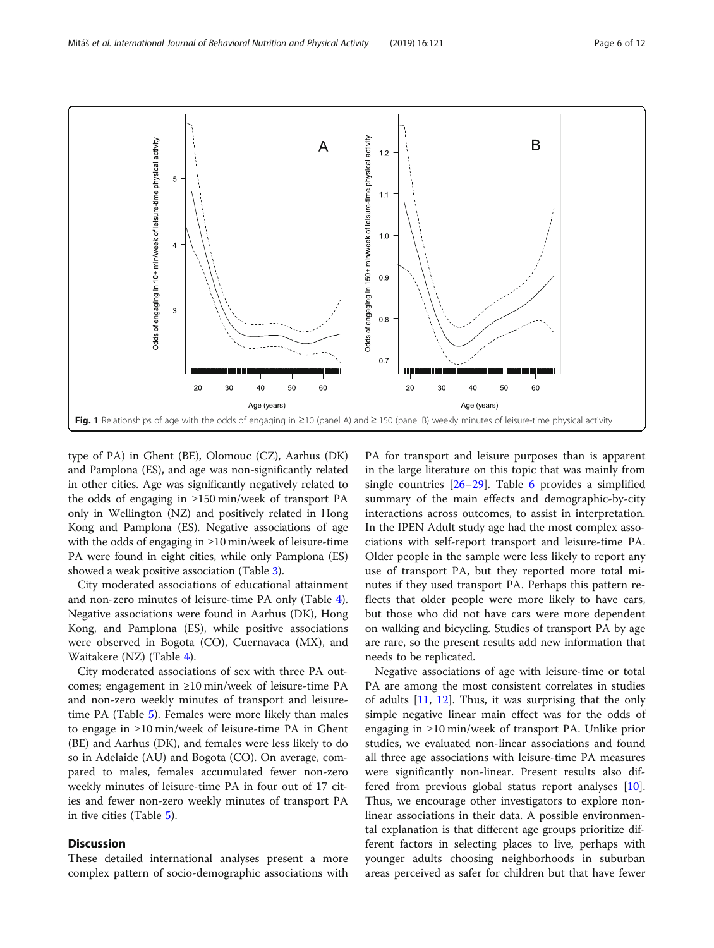<span id="page-5-0"></span>

type of PA) in Ghent (BE), Olomouc (CZ), Aarhus (DK) and Pamplona (ES), and age was non-significantly related in other cities. Age was significantly negatively related to the odds of engaging in ≥150 min/week of transport PA only in Wellington (NZ) and positively related in Hong Kong and Pamplona (ES). Negative associations of age with the odds of engaging in ≥10 min/week of leisure-time PA were found in eight cities, while only Pamplona (ES) showed a weak positive association (Table [3\)](#page-7-0).

City moderated associations of educational attainment and non-zero minutes of leisure-time PA only (Table [4](#page-8-0)). Negative associations were found in Aarhus (DK), Hong Kong, and Pamplona (ES), while positive associations were observed in Bogota (CO), Cuernavaca (MX), and Waitakere (NZ) (Table [4](#page-8-0)).

City moderated associations of sex with three PA outcomes; engagement in ≥10 min/week of leisure-time PA and non-zero weekly minutes of transport and leisuretime PA (Table [5\)](#page-9-0). Females were more likely than males to engage in ≥10 min/week of leisure-time PA in Ghent (BE) and Aarhus (DK), and females were less likely to do so in Adelaide (AU) and Bogota (CO). On average, compared to males, females accumulated fewer non-zero weekly minutes of leisure-time PA in four out of 17 cities and fewer non-zero weekly minutes of transport PA in five cities (Table [5\)](#page-9-0).

## Discussion

These detailed international analyses present a more complex pattern of socio-demographic associations with PA for transport and leisure purposes than is apparent in the large literature on this topic that was mainly from single countries [\[26](#page-11-0)–[29\]](#page-11-0). Table [6](#page-9-0) provides a simplified summary of the main effects and demographic-by-city interactions across outcomes, to assist in interpretation. In the IPEN Adult study age had the most complex associations with self-report transport and leisure-time PA. Older people in the sample were less likely to report any use of transport PA, but they reported more total minutes if they used transport PA. Perhaps this pattern reflects that older people were more likely to have cars, but those who did not have cars were more dependent on walking and bicycling. Studies of transport PA by age are rare, so the present results add new information that needs to be replicated.

Negative associations of age with leisure-time or total PA are among the most consistent correlates in studies of adults  $[11, 12]$  $[11, 12]$  $[11, 12]$  $[11, 12]$ . Thus, it was surprising that the only simple negative linear main effect was for the odds of engaging in ≥10 min/week of transport PA. Unlike prior studies, we evaluated non-linear associations and found all three age associations with leisure-time PA measures were significantly non-linear. Present results also differed from previous global status report analyses [\[10](#page-11-0)]. Thus, we encourage other investigators to explore nonlinear associations in their data. A possible environmental explanation is that different age groups prioritize different factors in selecting places to live, perhaps with younger adults choosing neighborhoods in suburban areas perceived as safer for children but that have fewer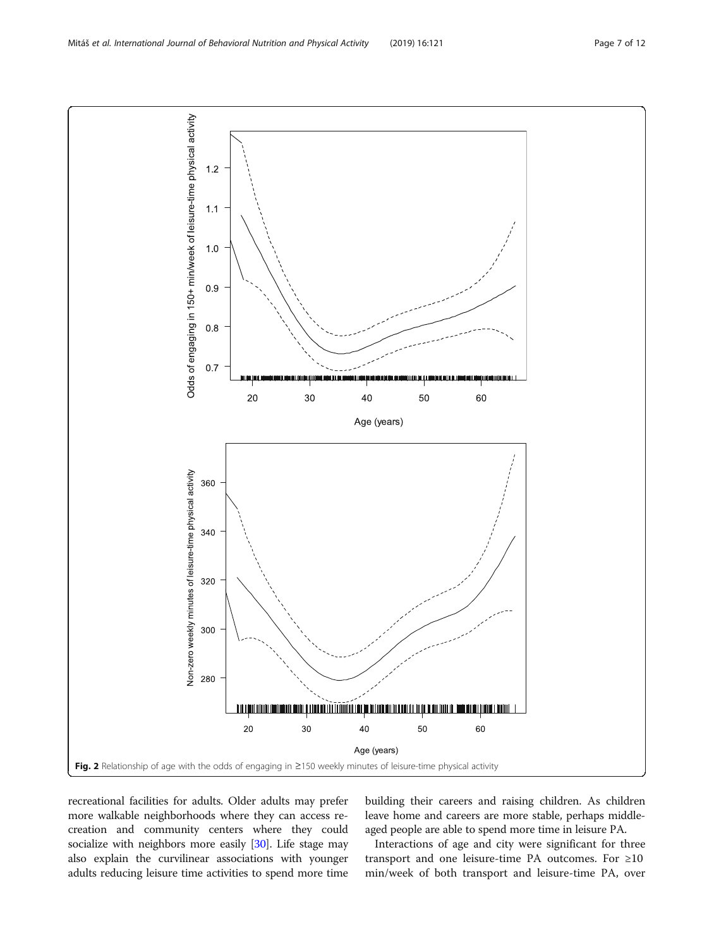recreational facilities for adults. Older adults may prefer more walkable neighborhoods where they can access recreation and community centers where they could socialize with neighbors more easily [\[30\]](#page-11-0). Life stage may also explain the curvilinear associations with younger adults reducing leisure time activities to spend more time building their careers and raising children. As children leave home and careers are more stable, perhaps middleaged people are able to spend more time in leisure PA.

Interactions of age and city were significant for three transport and one leisure-time PA outcomes. For ≥10 min/week of both transport and leisure-time PA, over

<span id="page-6-0"></span>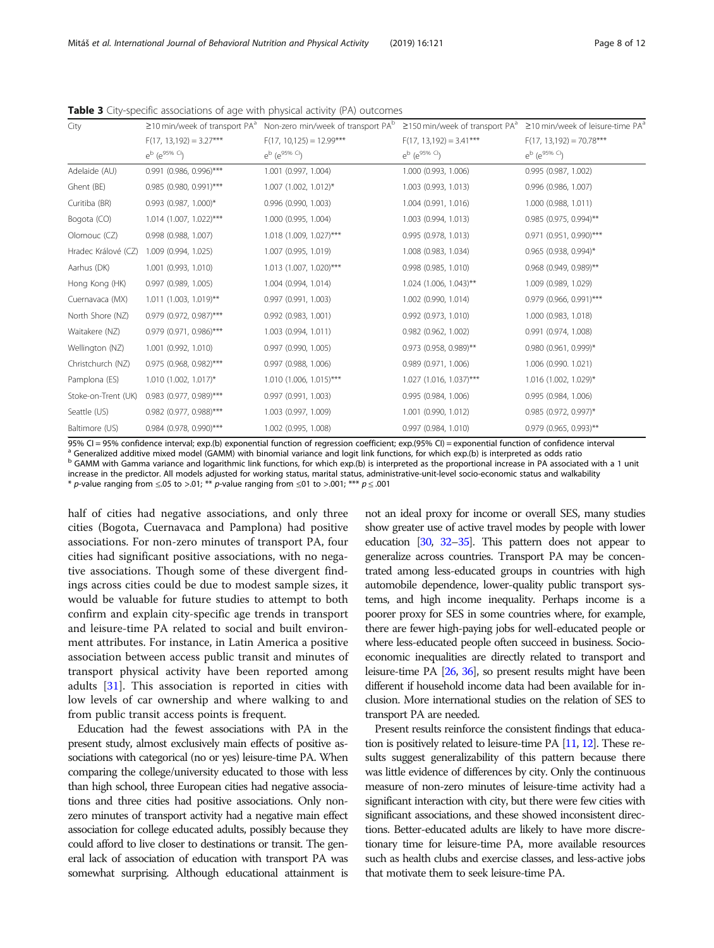| City                |                            | $\geq$ 10 min/week of transport PA <sup>a</sup> Non-zero min/week of transport PA <sup>b</sup> ≥150 min/week of transport PA <sup>a</sup> ≥10 min/week of leisure-time PA <sup>a</sup> |                            |                             |  |  |
|---------------------|----------------------------|----------------------------------------------------------------------------------------------------------------------------------------------------------------------------------------|----------------------------|-----------------------------|--|--|
|                     | $F(17, 13, 192) = 3.27***$ | $F(17, 10, 125) = 12.99***$                                                                                                                                                            | $F(17, 13, 192) = 3.41***$ | $F(17, 13, 192) = 70.78***$ |  |  |
|                     | $e^{b}$ ( $e^{95\%}$ Cl)   | $e^{b}$ ( $e^{95\%}$ <sup>Cl</sup> )                                                                                                                                                   | $e^{b}$ ( $e^{95\%}$ Cl)   | $e^{b}$ ( $e^{95\%}$ Cl)    |  |  |
| Adelaide (AU)       | 0.991 (0.986, 0.996)***    | 1.001 (0.997, 1.004)                                                                                                                                                                   | 1.000 (0.993, 1.006)       | 0.995(0.987, 1.002)         |  |  |
| Ghent (BE)          | 0.985 (0.980, 0.991)***    | $1.007$ (1.002, 1.012)*                                                                                                                                                                | 1.003 (0.993, 1.013)       | 0.996 (0.986, 1.007)        |  |  |
| Curitiba (BR)       | $0.993$ (0.987, 1.000)*    | 0.996 (0.990, 1.003)                                                                                                                                                                   | 1.004 (0.991, 1.016)       | 1.000 (0.988, 1.011)        |  |  |
| Bogota (CO)         | $1.014$ (1.007, 1.022)***  | 1.000 (0.995, 1.004)                                                                                                                                                                   | 1.003 (0.994, 1.013)       | 0.985 (0.975, 0.994)**      |  |  |
| Olomouc (CZ)        | 0.998 (0.988, 1.007)       | $1.018$ (1.009, 1.027)***                                                                                                                                                              | 0.995(0.978, 1.013)        | 0.971 (0.951, 0.990)***     |  |  |
| Hradec Králové (CZ) | 1.009 (0.994, 1.025)       | 1.007 (0.995, 1.019)                                                                                                                                                                   | 1.008 (0.983, 1.034)       | $0.965$ (0.938, 0.994)*     |  |  |
| Aarhus (DK)         | 1.001 (0.993, 1.010)       | $1.013$ (1.007, 1.020)***                                                                                                                                                              | 0.998(0.985, 1.010)        | 0.968 (0.949, 0.989)**      |  |  |
| Hong Kong (HK)      | $0.997$ (0.989, 1.005)     | 1.004 (0.994, 1.014)                                                                                                                                                                   | $1.024$ (1.006, 1.043)**   | 1.009 (0.989, 1.029)        |  |  |
| Cuernavaca (MX)     | $1.011$ (1.003, 1.019)**   | 0.997 (0.991, 1.003)                                                                                                                                                                   | 1.002 (0.990, 1.014)       | 0.979 (0.966, 0.991)***     |  |  |
| North Shore (NZ)    | 0.979 (0.972, 0.987)***    | 0.992 (0.983, 1.001)                                                                                                                                                                   | 0.992 (0.973, 1.010)       | 1.000 (0.983, 1.018)        |  |  |
| Waitakere (NZ)      | 0.979 (0.971, 0.986)***    | 1.003 (0.994, 1.011)                                                                                                                                                                   | 0.982 (0.962, 1.002)       | 0.991 (0.974, 1.008)        |  |  |
| Wellington (NZ)     | 1.001 (0.992, 1.010)       | 0.997 (0.990, 1.005)                                                                                                                                                                   | 0.973 (0.958, 0.989)**     | $0.980$ (0.961, 0.999)*     |  |  |
| Christchurch (NZ)   | $0.975$ (0.968, 0.982)***  | 0.997(0.988, 1.006)                                                                                                                                                                    | 0.989(0.971, 1.006)        | 1.006 (0.990, 1.021)        |  |  |
| Pamplona (ES)       | $1.010(1.002, 1.017)^*$    | $1.010(1.006, 1.015)$ ***                                                                                                                                                              | $1.027$ (1.016, 1.037)***  | 1.016 (1.002, 1.029)*       |  |  |
| Stoke-on-Trent (UK) | 0.983 (0.977, 0.989)***    | 0.997 (0.991, 1.003)                                                                                                                                                                   | 0.995 (0.984, 1.006)       | 0.995(0.984, 1.006)         |  |  |
| Seattle (US)        | 0.982 (0.977, 0.988)***    | 1.003 (0.997, 1.009)                                                                                                                                                                   | 1.001 (0.990, 1.012)       | 0.985 (0.972, 0.997)*       |  |  |
| Baltimore (US)      | 0.984 (0.978, 0.990)***    | 1.002 (0.995, 1.008)                                                                                                                                                                   | 0.997(0.984, 1.010)        | $0.979$ (0.965, 0.993)**    |  |  |

<span id="page-7-0"></span>Table 3 City-specific associations of age with physical activity (PA) outcomes

95% CI = 95% confidence interval; exp.(b) exponential function of regression coefficient; exp.(95% CI) = exponential function of confidence interval<br><sup>a</sup> Generalized additive mixed model (GAMM) with binomial variance and lo

b GAMM with Gamma variance and logarithmic link functions, for which exp.(b) is interpreted as the proportional increase in PA associated with a 1 unit increase in the predictor. All models adjusted for working status, marital status, administrative-unit-level socio-economic status and walkability

\* p-value ranging from  $\leq 0.05$  to  $> 0.01$ ; \*\* p-value ranging from  $\leq 0.01$  to  $> 0.001$ ; \*\*\* p  $\leq 0.001$ 

half of cities had negative associations, and only three cities (Bogota, Cuernavaca and Pamplona) had positive associations. For non-zero minutes of transport PA, four cities had significant positive associations, with no negative associations. Though some of these divergent findings across cities could be due to modest sample sizes, it would be valuable for future studies to attempt to both confirm and explain city-specific age trends in transport and leisure-time PA related to social and built environment attributes. For instance, in Latin America a positive association between access public transit and minutes of transport physical activity have been reported among adults [\[31](#page-11-0)]. This association is reported in cities with low levels of car ownership and where walking to and from public transit access points is frequent.

Education had the fewest associations with PA in the present study, almost exclusively main effects of positive associations with categorical (no or yes) leisure-time PA. When comparing the college/university educated to those with less than high school, three European cities had negative associations and three cities had positive associations. Only nonzero minutes of transport activity had a negative main effect association for college educated adults, possibly because they could afford to live closer to destinations or transit. The general lack of association of education with transport PA was somewhat surprising. Although educational attainment is not an ideal proxy for income or overall SES, many studies show greater use of active travel modes by people with lower education [[30,](#page-11-0) [32](#page-11-0)–[35](#page-11-0)]. This pattern does not appear to generalize across countries. Transport PA may be concentrated among less-educated groups in countries with high automobile dependence, lower-quality public transport systems, and high income inequality. Perhaps income is a poorer proxy for SES in some countries where, for example, there are fewer high-paying jobs for well-educated people or where less-educated people often succeed in business. Socioeconomic inequalities are directly related to transport and leisure-time PA [\[26](#page-11-0), [36\]](#page-11-0), so present results might have been different if household income data had been available for inclusion. More international studies on the relation of SES to transport PA are needed.

Present results reinforce the consistent findings that education is positively related to leisure-time PA [\[11](#page-11-0), [12\]](#page-11-0). These results suggest generalizability of this pattern because there was little evidence of differences by city. Only the continuous measure of non-zero minutes of leisure-time activity had a significant interaction with city, but there were few cities with significant associations, and these showed inconsistent directions. Better-educated adults are likely to have more discretionary time for leisure-time PA, more available resources such as health clubs and exercise classes, and less-active jobs that motivate them to seek leisure-time PA.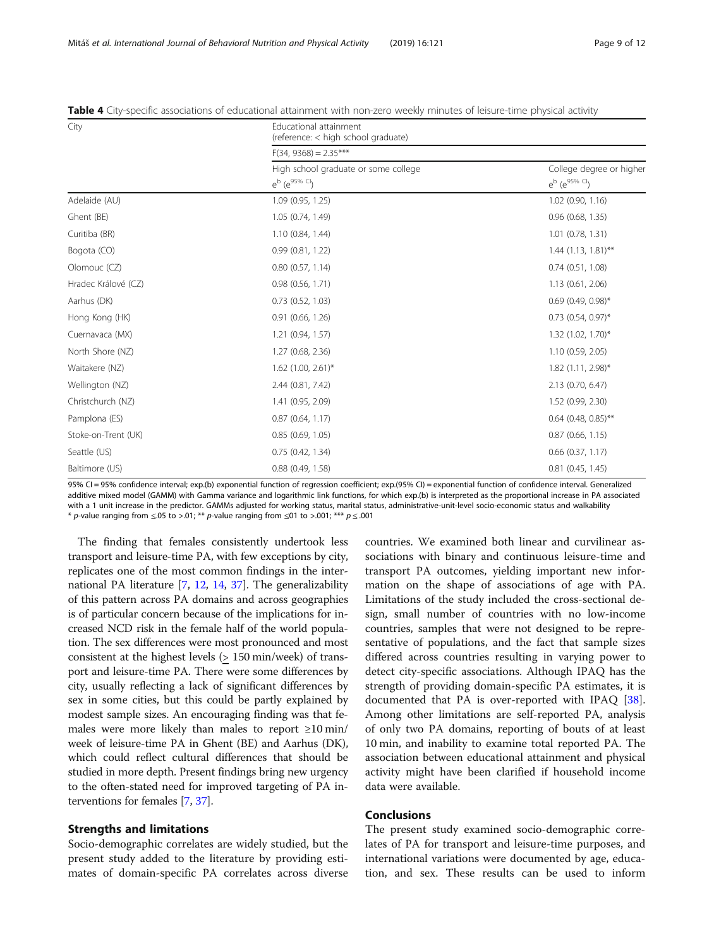| City                | Educational attainment<br>(reference: < high school graduate)    |                                                      |  |  |  |  |
|---------------------|------------------------------------------------------------------|------------------------------------------------------|--|--|--|--|
|                     | $F(34, 9368) = 2.35***$                                          |                                                      |  |  |  |  |
|                     | High school graduate or some college<br>$e^{b}$ ( $e^{95\%}$ Cl) | College degree or higher<br>$e^{b}$ ( $e^{95\%}$ Cl) |  |  |  |  |
| Adelaide (AU)       | 1.09(0.95, 1.25)                                                 | $1.02$ (0.90, 1.16)                                  |  |  |  |  |
| Ghent (BE)          | 1.05 (0.74, 1.49)                                                | $0.96$ $(0.68, 1.35)$                                |  |  |  |  |
| Curitiba (BR)       | 1.10 (0.84, 1.44)                                                | 1.01 (0.78, 1.31)                                    |  |  |  |  |
| Bogota (CO)         | 0.99(0.81, 1.22)                                                 | $1.44$ (1.13, 1.81)**                                |  |  |  |  |
| Olomouc (CZ)        | $0.80$ $(0.57, 1.14)$                                            | 0.74(0.51, 1.08)                                     |  |  |  |  |
| Hradec Králové (CZ) | 0.98(0.56, 1.71)                                                 | 1.13(0.61, 2.06)                                     |  |  |  |  |
| Aarhus (DK)         | $0.73$ $(0.52, 1.03)$                                            | $0.69$ (0.49, 0.98)*                                 |  |  |  |  |
| Hong Kong (HK)      | 0.91(0.66, 1.26)                                                 | $0.73$ (0.54, 0.97)*                                 |  |  |  |  |
| Cuernavaca (MX)     | 1.21 (0.94, 1.57)                                                | $1.32$ (1.02, 1.70)*                                 |  |  |  |  |
| North Shore (NZ)    | 1.27 (0.68, 2.36)                                                | 1.10 (0.59, 2.05)                                    |  |  |  |  |
| Waitakere (NZ)      | $1.62$ (1.00, 2.61)*                                             | 1.82 (1.11, 2.98)*                                   |  |  |  |  |
| Wellington (NZ)     | 2.44 (0.81, 7.42)                                                | 2.13 (0.70, 6.47)                                    |  |  |  |  |
| Christchurch (NZ)   | 1.41 (0.95, 2.09)                                                | 1.52 (0.99, 2.30)                                    |  |  |  |  |
| Pamplona (ES)       | $0.87$ (0.64, 1.17)                                              | $0.64$ (0.48, 0.85)**                                |  |  |  |  |
| Stoke-on-Trent (UK) | 0.85(0.69, 1.05)                                                 | $0.87$ (0.66, 1.15)                                  |  |  |  |  |
| Seattle (US)        | 0.75(0.42, 1.34)                                                 | $0.66$ $(0.37, 1.17)$                                |  |  |  |  |
| Baltimore (US)      | $0.88$ $(0.49, 1.58)$                                            | $0.81$ $(0.45, 1.45)$                                |  |  |  |  |

<span id="page-8-0"></span>Table 4 City-specific associations of educational attainment with non-zero weekly minutes of leisure-time physical activity

95% CI = 95% confidence interval; exp.(b) exponential function of regression coefficient; exp.(95% CI) = exponential function of confidence interval. Generalized additive mixed model (GAMM) with Gamma variance and logarithmic link functions, for which exp.(b) is interpreted as the proportional increase in PA associated with a 1 unit increase in the predictor. GAMMs adjusted for working status, marital status, administrative-unit-level socio-economic status and walkability \* p-value ranging from  $\leq 0.05$  to  $> 0.01$ ; \*\* p-value ranging from  $\leq 0.01$  to  $> 0.001$ ; \*\*\* p  $\leq 0.001$ 

The finding that females consistently undertook less transport and leisure-time PA, with few exceptions by city, replicates one of the most common findings in the international PA literature [[7](#page-10-0), [12,](#page-11-0) [14](#page-11-0), [37](#page-11-0)]. The generalizability of this pattern across PA domains and across geographies is of particular concern because of the implications for increased NCD risk in the female half of the world population. The sex differences were most pronounced and most consistent at the highest levels (> 150 min/week) of transport and leisure-time PA. There were some differences by city, usually reflecting a lack of significant differences by sex in some cities, but this could be partly explained by modest sample sizes. An encouraging finding was that females were more likely than males to report  $\geq 10$  min/ week of leisure-time PA in Ghent (BE) and Aarhus (DK), which could reflect cultural differences that should be studied in more depth. Present findings bring new urgency to the often-stated need for improved targeting of PA interventions for females [[7](#page-10-0), [37\]](#page-11-0).

## Strengths and limitations

Socio-demographic correlates are widely studied, but the present study added to the literature by providing estimates of domain-specific PA correlates across diverse countries. We examined both linear and curvilinear associations with binary and continuous leisure-time and transport PA outcomes, yielding important new information on the shape of associations of age with PA. Limitations of the study included the cross-sectional design, small number of countries with no low-income countries, samples that were not designed to be representative of populations, and the fact that sample sizes differed across countries resulting in varying power to detect city-specific associations. Although IPAQ has the strength of providing domain-specific PA estimates, it is documented that PA is over-reported with IPAQ [\[38](#page-11-0)]. Among other limitations are self-reported PA, analysis of only two PA domains, reporting of bouts of at least 10 min, and inability to examine total reported PA. The association between educational attainment and physical activity might have been clarified if household income data were available.

## Conclusions

The present study examined socio-demographic correlates of PA for transport and leisure-time purposes, and international variations were documented by age, education, and sex. These results can be used to inform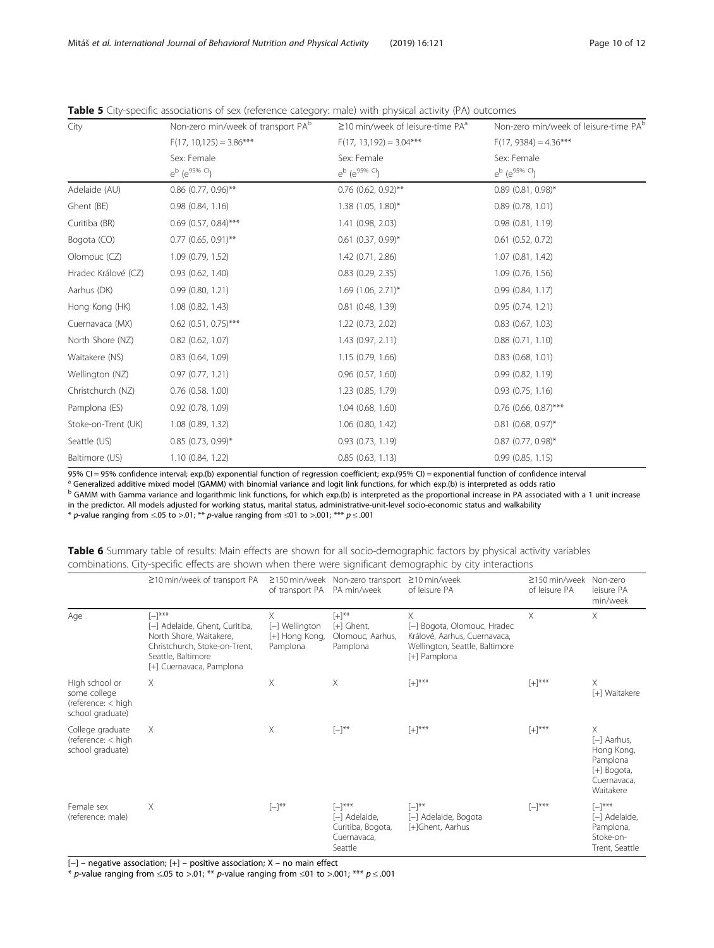| City                | Non-zero min/week of transport PA <sup>b</sup> | $\geq$ 10 min/week of leisure-time PA $^{\circ}$ | Non-zero min/week of leisure-time PA <sup>b</sup> |
|---------------------|------------------------------------------------|--------------------------------------------------|---------------------------------------------------|
|                     | $F(17, 10, 125) = 3.86***$                     | $F(17, 13, 192) = 3.04***$                       | $F(17, 9384) = 4.36***$                           |
|                     | Sex: Female                                    | Sex: Female                                      | Sex: Female                                       |
|                     | $e^{b}$ $(e^{95\%}$ Cl                         | e <sup>b</sup> (e <sup>95% Cl</sup> )            | $e^{b}$ ( $e^{95\%}$ Cl)                          |
| Adelaide (AU)       | $0.86$ (0.77, 0.96)**                          | $0.76$ (0.62, 0.92)**                            | $0.89$ (0.81, 0.98)*                              |
| Ghent (BE)          | 0.98(0.84, 1.16)                               | $1.38(1.05, 1.80)^{*}$                           | 0.89(0.78, 1.01)                                  |
| Curitiba (BR)       | $0.69$ (0.57, 0.84)***                         | 1.41 (0.98, 2.03)                                | 0.98(0.81, 1.19)                                  |
| Bogota (CO)         | $0.77$ (0.65, 0.91)**                          | $0.61$ (0.37, 0.99)*                             | $0.61$ $(0.52, 0.72)$                             |
| Olomouc (CZ)        | 1.09 (0.79, 1.52)                              | 1.42 (0.71, 2.86)                                | 1.07(0.81, 1.42)                                  |
| Hradec Králové (CZ) | 0.93(0.62, 1.40)                               | $0.83$ $(0.29, 2.35)$                            | 1.09(0.76, 1.56)                                  |
| Aarhus (DK)         | 0.99(0.80, 1.21)                               | $1.69$ (1.06, 2.71)*                             | 0.99(0.84, 1.17)                                  |
| Hong Kong (HK)      | $1.08$ (0.82, 1.43)                            | 0.81(0.48, 1.39)                                 | 0.95(0.74, 1.21)                                  |
| Cuernavaca (MX)     | $0.62$ (0.51, 0.75)***                         | 1.22 (0.73, 2.02)                                | $0.83$ $(0.67, 1.03)$                             |
| North Shore (NZ)    | $0.82$ (0.62, 1.07)                            | 1.43(0.97, 2.11)                                 | 0.88(0.71, 1.10)                                  |
| Waitakere (NS)      | $0.83$ $(0.64, 1.09)$                          | 1.15(0.79, 1.66)                                 | 0.83(0.68, 1.01)                                  |
| Wellington (NZ)     | 0.97(0.77, 1.21)                               | 0.96(0.57, 1.60)                                 | 0.99(0.82, 1.19)                                  |
| Christchurch (NZ)   | $0.76$ $(0.58, 1.00)$                          | 1.23 (0.85, 1.79)                                | 0.93(0.75, 1.16)                                  |
| Pamplona (ES)       | $0.92$ $(0.78, 1.09)$                          | 1.04(0.68, 1.60)                                 | $0.76$ (0.66, 0.87)***                            |
| Stoke-on-Trent (UK) | 1.08 (0.89, 1.32)                              | $1.06$ (0.80, 1.42)                              | $0.81$ (0.68, 0.97)*                              |
| Seattle (US)        | $0.85$ (0.73, 0.99)*                           | 0.93(0.73, 1.19)                                 | $0.87$ (0.77, 0.98)*                              |
| Baltimore (US)      | 1.10(0.84, 1.22)                               | 0.85(0.63, 1.13)                                 | 0.99(0.85, 1.15)                                  |

<span id="page-9-0"></span>Table 5 City-specific associations of sex (reference category: male) with physical activity (PA) outcomes

95% CI = 95% confidence interval; exp.(b) exponential function of regression coefficient; exp.(95% CI) = exponential function of confidence interval  $^a$  Generalized additive mixed model (GAMM) with binomial variance and

b GAMM with Gamma variance and logarithmic link functions, for which exp.(b) is interpreted as the proportional increase in PA associated with a 1 unit increase in the predictor. All models adjusted for working status, marital status, administrative-unit-level socio-economic status and walkability

\* p-value ranging from  $\leq 0.05$  to >.01; \*\* p-value ranging from  $\leq 01$  to >.001; \*\*\* p  $\leq$ .001

| Table 6 Summary table of results: Main effects are shown for all socio-demographic factors by physical activity variables |  |
|---------------------------------------------------------------------------------------------------------------------------|--|
| combinations. City-specific effects are shown when there were significant demographic by city interactions                |  |

|                                                                          | ≥10 min/week of transport PA                                                                                                                                | of transport PA PA min/week                       | ≥150 min/week Non-zero transport                                            | $\geq$ 10 min/week<br>of leisure PA                                                                                | ≥150 min/week<br>of leisure PA | Non-zero<br>leisure PA<br>min/week                                                      |
|--------------------------------------------------------------------------|-------------------------------------------------------------------------------------------------------------------------------------------------------------|---------------------------------------------------|-----------------------------------------------------------------------------|--------------------------------------------------------------------------------------------------------------------|--------------------------------|-----------------------------------------------------------------------------------------|
| Age                                                                      | $[-]^{***}$<br>[-] Adelaide, Ghent, Curitiba,<br>North Shore, Waitakere,<br>Christchurch, Stoke-on-Trent,<br>Seattle, Baltimore<br>[+] Cuernavaca, Pamplona | X<br>[-] Wellington<br>[+] Hong Kong,<br>Pamplona | $[+]^{**}$<br>[+] Ghent,<br>Olomouc, Aarhus,<br>Pamplona                    | X<br>[-] Bogota, Olomouc, Hradec<br>Králové, Aarhus, Cuernavaca,<br>Wellington, Seattle, Baltimore<br>[+] Pamplona | X                              | X                                                                                       |
| High school or<br>some college<br>(reference: < high<br>school graduate) | X.                                                                                                                                                          | X                                                 | X                                                                           | $[+]^{***}$                                                                                                        | $[+]^{***}$                    | X<br>[+] Waitakere                                                                      |
| College graduate<br>(reference: < high<br>school graduate)               | Χ                                                                                                                                                           | X                                                 | $[-]^{**}$                                                                  | $[+]^{***}$                                                                                                        | $[+]^{***}$                    | X<br>$[-]$ Aarhus,<br>Hong Kong,<br>Pamplona<br>[+] Bogota,<br>Cuernavaca.<br>Waitakere |
| Female sex<br>(reference: male)                                          | X                                                                                                                                                           | $[-]^{**}$                                        | $[-]^{***}$<br>[-] Adelaide,<br>Curitiba, Bogota,<br>Cuernavaca.<br>Seattle | $[-]^{**}$<br>[-] Adelaide, Bogota<br>[+]Ghent, Aarhus                                                             | $[-]^{***}$                    | $[-]^{***}$<br>[-] Adelaide,<br>Pamplona,<br>Stoke-on-<br>Trent, Seattle                |

[−] – negative association; [+] – positive association; X – no main effect

\* p-value ranging from  $\leq 0.05$  to  $> 0.01$ ; \*\* p-value ranging from  $\leq 0.01$  to  $> 0.001$ ; \*\*\* p $\leq 0.001$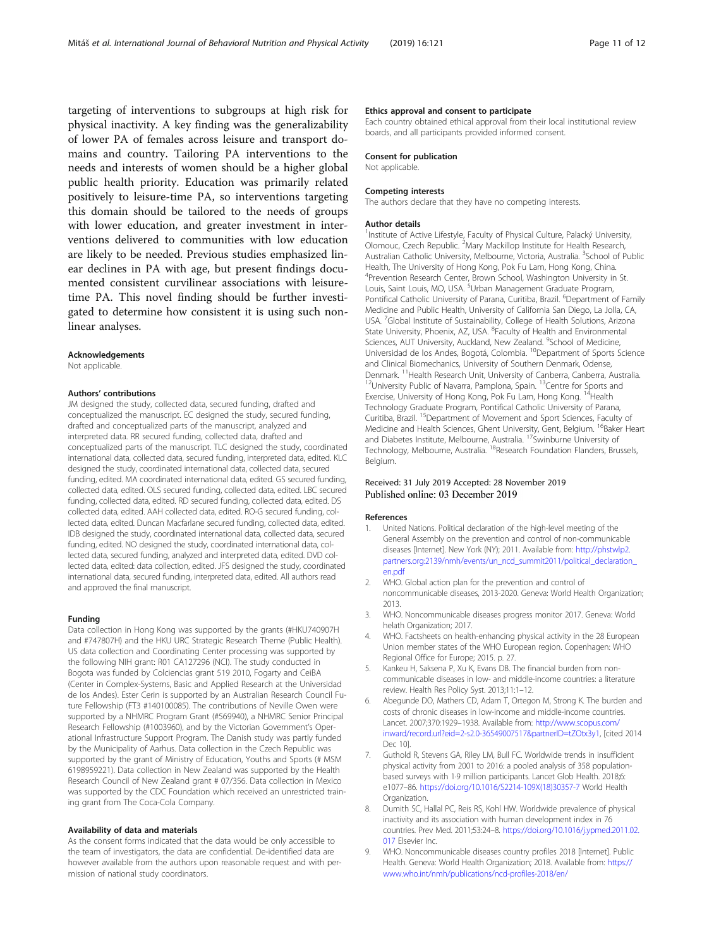<span id="page-10-0"></span>targeting of interventions to subgroups at high risk for physical inactivity. A key finding was the generalizability of lower PA of females across leisure and transport domains and country. Tailoring PA interventions to the needs and interests of women should be a higher global public health priority. Education was primarily related positively to leisure-time PA, so interventions targeting this domain should be tailored to the needs of groups with lower education, and greater investment in interventions delivered to communities with low education are likely to be needed. Previous studies emphasized linear declines in PA with age, but present findings documented consistent curvilinear associations with leisuretime PA. This novel finding should be further investigated to determine how consistent it is using such nonlinear analyses.

#### Acknowledgements

Not applicable.

#### Authors' contributions

JM designed the study, collected data, secured funding, drafted and conceptualized the manuscript. EC designed the study, secured funding, drafted and conceptualized parts of the manuscript, analyzed and interpreted data. RR secured funding, collected data, drafted and conceptualized parts of the manuscript. TLC designed the study, coordinated international data, collected data, secured funding, interpreted data, edited. KLC designed the study, coordinated international data, collected data, secured funding, edited. MA coordinated international data, edited. GS secured funding, collected data, edited. OLS secured funding, collected data, edited. LBC secured funding, collected data, edited. RD secured funding, collected data, edited. DS collected data, edited. AAH collected data, edited. RO-G secured funding, collected data, edited. Duncan Macfarlane secured funding, collected data, edited. IDB designed the study, coordinated international data, collected data, secured funding, edited. NO designed the study, coordinated international data, collected data, secured funding, analyzed and interpreted data, edited. DVD collected data, edited: data collection, edited. JFS designed the study, coordinated international data, secured funding, interpreted data, edited. All authors read and approved the final manuscript.

#### Funding

Data collection in Hong Kong was supported by the grants (#HKU740907H and #747807H) and the HKU URC Strategic Research Theme (Public Health). US data collection and Coordinating Center processing was supported by the following NIH grant: R01 CA127296 (NCI). The study conducted in Bogota was funded by Colciencias grant 519 2010, Fogarty and CeiBA (Center in Complex-Systems, Basic and Applied Research at the Universidad de los Andes). Ester Cerin is supported by an Australian Research Council Future Fellowship (FT3 #140100085). The contributions of Neville Owen were supported by a NHMRC Program Grant (#569940), a NHMRC Senior Principal Research Fellowship (#1003960), and by the Victorian Government's Operational Infrastructure Support Program. The Danish study was partly funded by the Municipality of Aarhus. Data collection in the Czech Republic was supported by the grant of Ministry of Education, Youths and Sports (# MSM 6198959221). Data collection in New Zealand was supported by the Health Research Council of New Zealand grant # 07/356. Data collection in Mexico was supported by the CDC Foundation which received an unrestricted training grant from The Coca-Cola Company.

#### Availability of data and materials

As the consent forms indicated that the data would be only accessible to the team of investigators, the data are confidential. De-identified data are however available from the authors upon reasonable request and with permission of national study coordinators.

#### Ethics approval and consent to participate

Each country obtained ethical approval from their local institutional review boards, and all participants provided informed consent.

### Consent for publication

Not applicable.

#### Competing interests

The authors declare that they have no competing interests.

#### Author details

<sup>1</sup>Institute of Active Lifestyle, Faculty of Physical Culture, Palacký University, Olomouc, Czech Republic. <sup>2</sup>Mary Mackillop Institute for Health Research, Australian Catholic University, Melbourne, Victoria, Australia. <sup>3</sup>School of Public Health, The University of Hong Kong, Pok Fu Lam, Hong Kong, China. 4 Prevention Research Center, Brown School, Washington University in St. Louis, Saint Louis, MO, USA. <sup>5</sup>Urban Management Graduate Program, Pontifical Catholic University of Parana, Curitiba, Brazil. <sup>6</sup>Department of Family Medicine and Public Health, University of California San Diego, La Jolla, CA, USA. <sup>7</sup>Global Institute of Sustainability, College of Health Solutions, Arizona State University, Phoenix, AZ, USA. <sup>8</sup>Faculty of Health and Environmental Sciences, AUT University, Auckland, New Zealand. <sup>9</sup>School of Medicine,<br>Universidad de los Andes, Bogotá, Colombia. <sup>10</sup>Department of Sports Science and Clinical Biomechanics, University of Southern Denmark, Odense, Denmark. <sup>11</sup>Health Research Unit, University of Canberra, Canberra, Australia.<br><sup>12</sup>University Public of Navarra, Pamplona, Spain. <sup>13</sup>Centre for Sports and Exercise, University of Hong Kong, Pok Fu Lam, Hong Kong. <sup>14</sup>Health Technology Graduate Program, Pontifical Catholic University of Parana, Curitiba, Brazil. 15Department of Movement and Sport Sciences, Faculty of Medicine and Health Sciences, Ghent University, Gent, Belgium. <sup>16</sup>Baker Heart and Diabetes Institute, Melbourne, Australia. <sup>17</sup>Swinburne University of Technology, Melbourne, Australia. <sup>18</sup>Research Foundation Flanders, Brussels, Belgium.

## Received: 31 July 2019 Accepted: 28 November 2019 Published online: 03 December 2019

#### References

- 1. United Nations. Political declaration of the high-level meeting of the General Assembly on the prevention and control of non-communicable diseases [Internet]. New York (NY); 2011. Available from: [http://phstwlp2.](http://phstwlp2.partners.org:2139/nmh/events/un_ncd_summit2011/political_declaration_en.pdf) [partners.org:2139/nmh/events/un\\_ncd\\_summit2011/political\\_declaration\\_](http://phstwlp2.partners.org:2139/nmh/events/un_ncd_summit2011/political_declaration_en.pdf) [en.pdf](http://phstwlp2.partners.org:2139/nmh/events/un_ncd_summit2011/political_declaration_en.pdf)
- 2. WHO. Global action plan for the prevention and control of noncommunicable diseases, 2013-2020. Geneva: World Health Organization; 2013.
- 3. WHO. Noncommunicable diseases progress monitor 2017. Geneva: World helath Organization; 2017.
- 4. WHO. Factsheets on health-enhancing physical activity in the 28 European Union member states of the WHO European region. Copenhagen: WHO Regional Office for Europe; 2015. p. 27.
- 5. Kankeu H, Saksena P, Xu K, Evans DB. The financial burden from noncommunicable diseases in low- and middle-income countries: a literature review. Health Res Policy Syst. 2013;11:1–12.
- Abegunde DO, Mathers CD, Adam T, Ortegon M, Strong K. The burden and costs of chronic diseases in low-income and middle-income countries. Lancet. 2007;370:1929–1938. Available from: [http://www.scopus.com/](http://www.scopus.com/inward/record.url?eid=2-s2.0-36549007517&partnerID=tZOtx3y1) [inward/record.url?eid=2-s2.0-36549007517&partnerID=tZOtx3y1](http://www.scopus.com/inward/record.url?eid=2-s2.0-36549007517&partnerID=tZOtx3y1), [cited 2014 Dec 10].
- 7. Guthold R, Stevens GA, Riley LM, Bull FC. Worldwide trends in insufficient physical activity from 2001 to 2016: a pooled analysis of 358 populationbased surveys with 1·9 million participants. Lancet Glob Health. 2018;6: e1077–86. [https://doi.org/10.1016/S2214-109X\(18\)30357-7](https://doi.org/10.1016/S2214-109X(18)30357-7) World Health Organization.
- 8. Dumith SC, Hallal PC, Reis RS, Kohl HW. Worldwide prevalence of physical inactivity and its association with human development index in 76 countries. Prev Med. 2011;53:24–8. [https://doi.org/10.1016/j.ypmed.2011.02.](https://doi.org/10.1016/j.ypmed.2011.02.017) [017](https://doi.org/10.1016/j.ypmed.2011.02.017) Elsevier Inc.
- 9. WHO. Noncommunicable diseases country profiles 2018 [Internet]. Public Health. Geneva: World Health Organization; 2018. Available from: [https://](https://www.who.int/nmh/publications/ncd-profiles-2018/en/) [www.who.int/nmh/publications/ncd-profiles-2018/en/](https://www.who.int/nmh/publications/ncd-profiles-2018/en/)